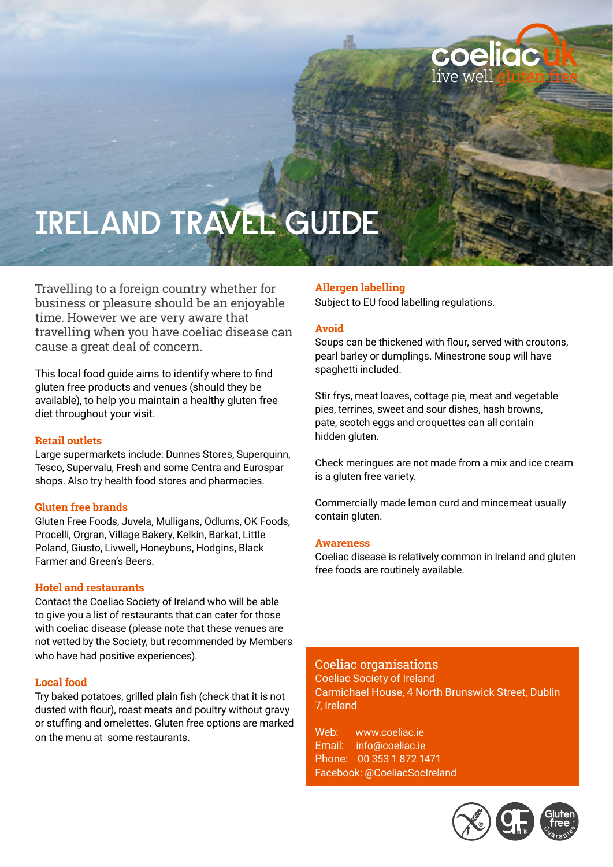

# **IRELAND TRAVEL GUIDE**

Travelling to a foreign country whether for business or pleasure should be an enjoyable time. However we are very aware that travelling when you have coeliac disease can cause a great deal of concern.

This local food guide aims to identify where to find gluten free products and venues (should they be available), to help you maintain a healthy gluten free diet throughout your visit.

#### **Retail outlets**

Large supermarkets include: Dunnes Stores, Superquinn, Tesco, Supervalu, Fresh and some Centra and Eurospar shops. Also try health food stores and pharmacies.

#### **Gluten free brands**

Gluten Free Foods, Juvela, Mulligans, Odlums, OK Foods, Procelli, Orgran, Village Bakery, Kelkin, Barkat, Little Poland, Giusto, Livwell, Honeybuns, Hodgins, Black Farmer and Green's Beers.

#### **Hotel and restaurants**

Contact the Coeliac Society of Ireland who will be able to give you a list of restaurants that can cater for those with coeliac disease (please note that these venues are not vetted by the Society, but recommended by Members who have had positive experiences).

#### **Local food**

Try baked potatoes, grilled plain fish (check that it is not dusted with flour), roast meats and poultry without gravy or stuffing and omelettes. Gluten free options are marked on the menu at some restaurants.

### **Allergen labelling**

Subject to EU food labelling regulations.

#### **Avoid**

Soups can be thickened with flour, served with croutons, pearl barley or dumplings. Minestrone soup will have spaghetti included.

Stir frys, meat loaves, cottage pie, meat and vegetable pies, terrines, sweet and sour dishes, hash browns, pate, scotch eggs and croquettes can all contain hidden gluten.

Check meringues are not made from a mix and ice cream is a gluten free variety.

Commercially made lemon curd and mincemeat usually contain gluten.

#### **Awareness**

Coeliac disease is relatively common in Ireland and gluten free foods are routinely available.

## Coeliac organisations

Coeliac Society of Ireland Carmichael House, 4 North Brunswick Street, Dublin 7, Ireland

Web: www.coeliac.ie Email: info@coeliac.ie Phone: 00 353 1 872 1471 Facebook: @CoeliacSocIreland